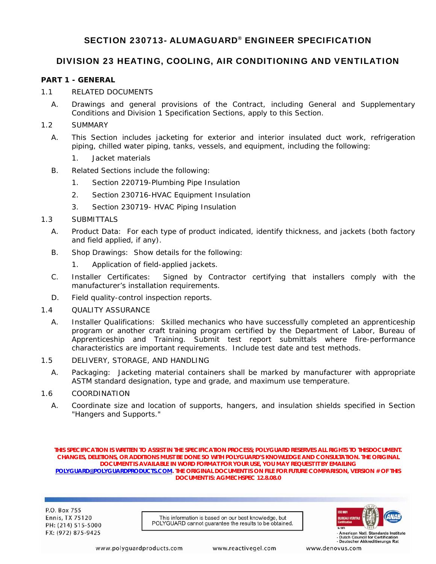# SECTION 230713- ALUMAGUARD® ENGINEER SPECIFICATION

## DIVISION 23 HEATING, COOLING, AIR CONDITIONING AND VENTILATION

#### **PART 1 - GENERAL**

- 1.1 RELATED DOCUMENTS
	- A. Drawings and general provisions of the Contract, including General and Supplementary Conditions and Division 1 Specification Sections, apply to this Section.

#### 1.2 SUMMARY

- A. This Section includes jacketing for exterior and interior insulated duct work, refrigeration piping, chilled water piping, tanks, vessels, and equipment, including the following:
	- 1. Jacket materials
- B. Related Sections include the following:
	- 1. Section 220719-Plumbing Pipe Insulation
	- 2. Section 230716-HVAC Equipment Insulation
	- 3. Section 230719- HVAC Piping Insulation

#### 1.3 SUBMITTALS

- A. Product Data: For each type of product indicated, identify thickness, and jackets (both factory and field applied, if any).
- B. Shop Drawings: Show details for the following:
	- 1. Application of field-applied jackets.
- C. Installer Certificates: Signed by Contractor certifying that installers comply with the manufacturer's installation requirements.
- D. Field quality-control inspection reports.

#### 1.4 QUALITY ASSURANCE

A. Installer Qualifications: Skilled mechanics who have successfully completed an apprenticeship program or another craft training program certified by the Department of Labor, Bureau of Apprenticeship and Training. Submit test report submittals where fire-performance characteristics are important requirements. Include test date and test methods.

#### 1.5 DELIVERY, STORAGE, AND HANDLING

A. Packaging: Jacketing material containers shall be marked by manufacturer with appropriate ASTM standard designation, type and grade, and maximum use temperature.

#### 1.6 COORDINATION

A. Coordinate size and location of supports, hangers, and insulation shields specified in Section "Hangers and Supports."

**THIS SPECIFICATION IS WRITTEN TO ASSIST IN THE SPECIFICATION PROCESS; POLYGUARD RESERVES ALL RIGHTS TO THISDOCUMENT. CHANGES, DELETIONS, OR ADDITIONS MUST BE DONE SO WITH POLYGUARD'S KNOWLEDGE AND CONSULTATION. THE ORIGINAL DOCUMENT IS AVAILABLE IN WORD FORMAT FOR YOUR USE, YOU MAY REQUEST IT BY EMAILING POLYGUARD@POLYGUARDPRODUCTS.COM. THE ORIGINAL DOCUMENT IS ON FILE FOR FUTURE COMPARISON, VERSION # OF THIS DOCUMENT IS: AGMECHSPEC 12.8.08.0** 

P.O. Box 755 **Ennis, TX 75120** PH: (214) 515-5000 FX: (972) 875-9425

This information is based on our best knowledge, but POLYGUARD cannot quarantee the results to be obtained.



American Natl, Standards Institute - Dutch Council for Certification<br>- Dutch Council for Certification<br>- Deutscher Akkreditierungs Rat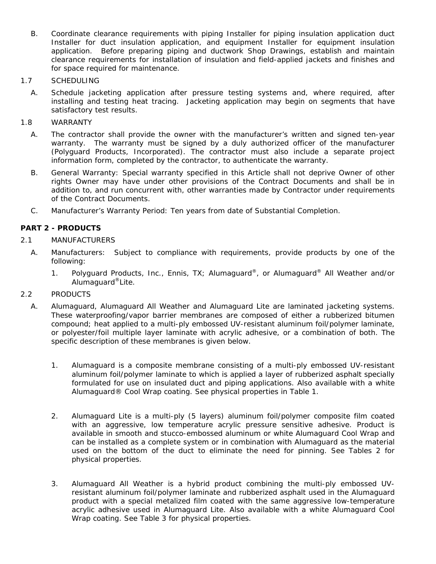- B. Coordinate clearance requirements with piping Installer for piping insulation application duct Installer for duct insulation application, and equipment Installer for equipment insulation application. Before preparing piping and ductwork Shop Drawings, establish and maintain clearance requirements for installation of insulation and field-applied jackets and finishes and for space required for maintenance.
- 1.7 SCHEDULING
	- A. Schedule jacketing application after pressure testing systems and, where required, after installing and testing heat tracing. Jacketing application may begin on segments that have satisfactory test results.
- 1.8 WARRANTY
	- A. The contractor shall provide the owner with the manufacturer's written and signed ten-year warranty. The warranty must be signed by a duly authorized officer of the manufacturer (Polyguard Products, Incorporated). The contractor must also include a separate project information form, completed by the contractor, to authenticate the warranty.
	- B. General Warranty: Special warranty specified in this Article shall not deprive Owner of other rights Owner may have under other provisions of the Contract Documents and shall be in addition to, and run concurrent with, other warranties made by Contractor under requirements of the Contract Documents.
	- C. Manufacturer's Warranty Period: Ten years from date of Substantial Completion.

## **PART 2 - PRODUCTS**

## 2.1 MANUFACTURERS

- A. Manufacturers: Subject to compliance with requirements, provide products by one of the following:
	- 1. Polyguard Products, Inc., Ennis, TX; Alumaguard®, or Alumaguard® All Weather and/or Alumaguard®Lite.

## 2.2 PRODUCTS

- A. Alumaguard, Alumaguard All Weather and Alumaguard Lite are laminated jacketing systems. These waterproofing/vapor barrier membranes are composed of either a rubberized bitumen compound; heat applied to a multi-ply embossed UV-resistant aluminum foil/polymer laminate, or polyester/foil multiple layer laminate with acrylic adhesive, or a combination of both. The specific description of these membranes is given below.
	- 1. Alumaguard is a composite membrane consisting of a multi-ply embossed UV-resistant aluminum foil/polymer laminate to which is applied a layer of rubberized asphalt specially formulated for use on insulated duct and piping applications. Also available with a white Alumaguard® Cool Wrap coating. See physical properties in Table 1.
	- 2. Alumaguard Lite is a multi-ply (5 layers) aluminum foil/polymer composite film coated with an aggressive, low temperature acrylic pressure sensitive adhesive. Product is available in smooth and stucco-embossed aluminum or white Alumaguard Cool Wrap and can be installed as a complete system or in combination with Alumaguard as the material used on the bottom of the duct to eliminate the need for pinning. See Tables 2 for physical properties.
	- 3. Alumaguard All Weather is a hybrid product combining the multi-ply embossed UVresistant aluminum foil/polymer laminate and rubberized asphalt used in the Alumaguard product with a special metalized film coated with the same aggressive low-temperature acrylic adhesive used in Alumaguard Lite. Also available with a white Alumaguard Cool Wrap coating. See Table 3 for physical properties.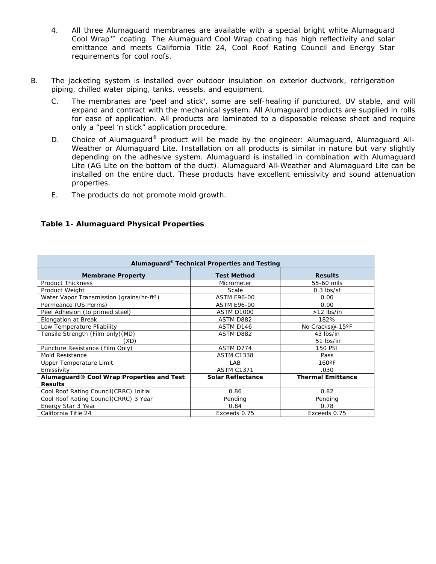- 4. All three Alumaguard membranes are available with a special bright white Alumaguard Cool Wrap™ coating. The Alumaguard Cool Wrap coating has high reflectivity and solar emittance and meets California Title 24, Cool Roof Rating Council and Energy Star requirements for cool roofs.
- B. The jacketing system is installed over outdoor insulation on exterior ductwork, refrigeration piping, chilled water piping, tanks, vessels, and equipment.
	- C. The membranes are 'peel and stick', some are self-healing if punctured, UV stable, and will expand and contract with the mechanical system. All Alumaguard products are supplied in rolls for ease of application. All products are laminated to a disposable release sheet and require only a "peel 'n stick" application procedure.
	- D. Choice of Alumaguard<sup>®</sup> product will be made by the engineer: Alumaguard, Alumaguard All-Weather or Alumaguard Lite. Installation on all products is similar in nature but vary slightly depending on the adhesive system. Alumaguard is installed in combination with Alumaguard Lite (AG Lite on the bottom of the duct). Alumaguard All-Weather and Alumaguard Lite can be installed on the entire duct. These products have excellent emissivity and sound attenuation properties.
	- E. The products do not promote mold growth.

| Alumaguard® Technical Properties and Testing          |                          |                          |  |
|-------------------------------------------------------|--------------------------|--------------------------|--|
| <b>Membrane Property</b>                              | <b>Test Method</b>       | <b>Results</b>           |  |
| <b>Product Thickness</b>                              | Micrometer               | 55-60 mils               |  |
| Product Weight                                        | Scale                    | $0.3$ lbs/sf             |  |
| Water Vapor Transmission (grains/hr-ft <sup>2</sup> ) | <b>ASTM E96-00</b>       | 0.00                     |  |
| Permeance (US Perms)                                  | <b>ASTM E96-00</b>       | 0.00                     |  |
| Peel Adhesion (to primed steel)                       | <b>ASTM D1000</b>        | $>12$ lbs/in             |  |
| Elongation at Break                                   | <b>ASTM D882</b>         | 182%                     |  |
| Low Temperature Pliability                            | ASTM D146                | No Cracks@-15°F          |  |
| Tensile Strength (Film only) (MD)                     | ASTM D882                | 43 lbs/in                |  |
| (XD)                                                  |                          | 51 lbs/in                |  |
| Puncture Resistance (Film Only)                       | ASTM D774                | <b>150 PSI</b>           |  |
| Mold Resistance                                       | <b>ASTM C1338</b>        | Pass                     |  |
| Upper Temperature Limit                               | LAB                      | $160^{\circ}$ F          |  |
| Emissivity                                            | <b>ASTM C1371</b>        | .030                     |  |
| Alumaguard® Cool Wrap Properties and Test             | <b>Solar Reflectance</b> | <b>Thermal Emittance</b> |  |
| <b>Results</b>                                        |                          |                          |  |
| Cool Roof Rating Council(CRRC) Initial                | 0.86                     | 0.82                     |  |
| Cool Roof Rating Council(CRRC) 3 Year                 | Pending                  | Pending                  |  |
| Energy Star 3 Year                                    | 0.84                     | 0.78                     |  |
| California Title 24                                   | Exceeds 0.75             | Exceeds 0.75             |  |

#### **Table 1- Alumaguard Physical Properties**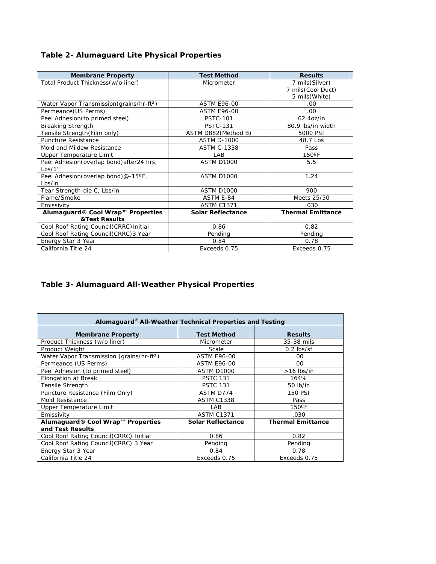| <b>Membrane Property</b>                              | <b>Test Method</b>       | <b>Results</b>           |
|-------------------------------------------------------|--------------------------|--------------------------|
| Total Product Thickness (w/o liner)                   | Micrometer               | 7 mils(Silver)           |
|                                                       |                          | 7 mils (Cool Duct)       |
|                                                       |                          | 5 mils(White)            |
| Water Vapor Transmission (grains/hr-ft <sup>2</sup> ) | <b>ASTM E96-00</b>       | .00.                     |
| Permeance (US Perms)                                  | <b>ASTM E96-00</b>       | .00                      |
| Peel Adhesion (to primed steel)                       | <b>PSTC-101</b>          | 62.4oz/in                |
| <b>Breaking Strength</b>                              | <b>PSTC-131</b>          | 80.9 lbs/in width        |
| Tensile Strength (Film only)                          | ASTM D882 (Method B)     | 5000 PSI                 |
| Puncture Resistance                                   | <b>ASTM D-1000</b>       | 48.7 Lbs                 |
| Mold and Mildew Resistance                            | <b>ASTM C-1338</b>       | Pass                     |
| Upper Temperature Limit                               | LAB                      | $150^{\circ}$ F          |
| Peel Adhesion (overlap bond) after 24 hrs,            | <b>ASTM D1000</b>        | 5.5                      |
| Lbs/1"                                                |                          |                          |
| Peel Adhesion (overlap bond)@-15°F,                   | <b>ASTM D1000</b>        | 1.24                     |
| Lbs/in                                                |                          |                          |
| Tear Strength-die C, Lbs/in                           | <b>ASTM D1000</b>        | 900                      |
| Flame/Smoke                                           | ASTM E-84                | Meets 25/50              |
| Emissivity                                            | <b>ASTM C1371</b>        | .030                     |
| Alumaguard® Cool Wrap™ Properties                     | <b>Solar Reflectance</b> | <b>Thermal Emittance</b> |
| <b>&amp;Test Results</b>                              |                          |                          |
| Cool Roof Rating Council(CRRC) Initial                | 0.86                     | 0.82                     |
| Cool Roof Rating Council(CRRC)3 Year                  | Pending                  | Pending                  |
| Energy Star 3 Year                                    | 0.84                     | 0.78                     |
| California Title 24                                   | Exceeds 0.75             | Exceeds 0.75             |

# **Table 3- Alumaguard All-Weather Physical Properties**

| Alumaguard® All-Weather Technical Properties and Testing |                          |                          |  |
|----------------------------------------------------------|--------------------------|--------------------------|--|
| <b>Membrane Property</b>                                 | <b>Test Method</b>       | <b>Results</b>           |  |
| Product Thickness (w/o liner)                            | Micrometer               | 35-38 mils               |  |
| Product Weight                                           | Scale                    | $0.2$ lbs/sf             |  |
| Water Vapor Transmission (grains/hr-ft <sup>2</sup> )    | <b>ASTM E96-00</b>       | .00                      |  |
| Permeance (US Perms)                                     | <b>ASTM E96-00</b>       | .00                      |  |
| Peel Adhesion (to primed steel)                          | <b>ASTM D1000</b>        | $>16$ lbs/in             |  |
| Elongation at Break                                      | <b>PSTC 131</b>          | 164%                     |  |
| Tensile Strength                                         | <b>PSTC 131</b>          | 50 lb/in                 |  |
| Puncture Resistance (Film Only)                          | ASTM D774                | <b>150 PSI</b>           |  |
| Mold Resistance                                          | <b>ASTM C1338</b>        | Pass                     |  |
| Upper Temperature Limit                                  | LAB                      | $150^{\circ}$ F          |  |
| Emissivity                                               | <b>ASTM C1371</b>        | .030                     |  |
| Alumaquard® Cool Wrap™ Properties                        | <b>Solar Reflectance</b> | <b>Thermal Emittance</b> |  |
| and Test Results                                         |                          |                          |  |
| Cool Roof Rating Council(CRRC) Initial                   | 0.86                     | 0.82                     |  |
| Cool Roof Rating Council(CRRC) 3 Year                    | Pending                  | Pending                  |  |
| Energy Star 3 Year                                       | 0.84                     | 0.78                     |  |
| California Title 24                                      | Exceeds 0.75             | Exceeds 0.75             |  |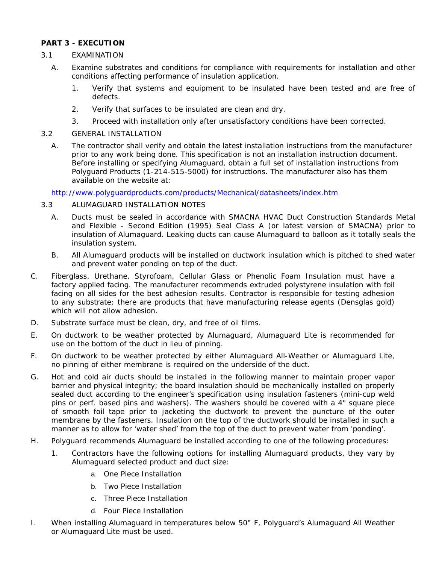## **PART 3 - EXECUTION**

## 3.1 EXAMINATION

- A. Examine substrates and conditions for compliance with requirements for installation and other conditions affecting performance of insulation application.
	- 1. Verify that systems and equipment to be insulated have been tested and are free of defects.
	- 2. Verify that surfaces to be insulated are clean and dry.
	- 3. Proceed with installation only after unsatisfactory conditions have been corrected.

## 3.2 GENERAL INSTALLATION

A. The contractor shall verify and obtain the latest installation instructions from the manufacturer prior to any work being done. This specification is not an installation instruction document. Before installing or specifying Alumaguard, obtain a full set of installation instructions from Polyguard Products (1-214-515-5000) for instructions. The manufacturer also has them available on the website at:

http://www.polyguardproducts.com/products/Mechanical/datasheets/index.htm

## 3.3 ALUMAGUARD INSTALLATION *NOTES*

- A. Ducts must be sealed in accordance with SMACNA HVAC Duct Construction Standards Metal and Flexible - Second Edition (1995) Seal Class A (or latest version of SMACNA) prior to insulation of Alumaguard. Leaking ducts can cause Alumaguard to balloon as it totally seals the insulation system.
- B. All Alumaguard products will be installed on ductwork insulation which is pitched to shed water and prevent water ponding on top of the duct.
- C. Fiberglass, Urethane, Styrofoam, Cellular Glass or Phenolic Foam Insulation must have a factory applied facing. The manufacturer recommends extruded polystyrene insulation with foil facing on all sides for the best adhesion results. Contractor is responsible for testing adhesion to any substrate; there are products that have manufacturing release agents (Densglas gold) which will not allow adhesion.
- D. Substrate surface must be clean, dry, and free of oil films.
- E. On ductwork to be weather protected by Alumaguard, Alumaguard Lite is recommended for use on the bottom of the duct in lieu of pinning.
- F. On ductwork to be weather protected by either Alumaguard All-Weather or Alumaguard Lite, no pinning of either membrane is required on the underside of the duct.
- G. Hot and cold air ducts should be installed in the following manner to maintain proper vapor barrier and physical integrity; the board insulation should be mechanically installed on properly sealed duct according to the engineer's specification using insulation fasteners (mini-cup weld pins or perf. based pins and washers). The washers should be covered with a 4" square piece of smooth foil tape prior to jacketing the ductwork to prevent the puncture of the outer membrane by the fasteners. Insulation on the top of the ductwork should be installed in such a manner as to allow for 'water shed' from the top of the duct to prevent water from 'ponding'.
- H. Polyguard recommends Alumaguard be installed according to one of the following procedures:
	- 1. Contractors have the following options for installing Alumaguard products, they vary by Alumaguard selected product and duct size:
		- a. One Piece Installation
		- b. Two Piece Installation
		- c. Three Piece Installation
		- d. Four Piece Installation
- I. When installing Alumaguard in temperatures below 50° F, Polyguard's Alumaguard All Weather or Alumaguard Lite must be used.